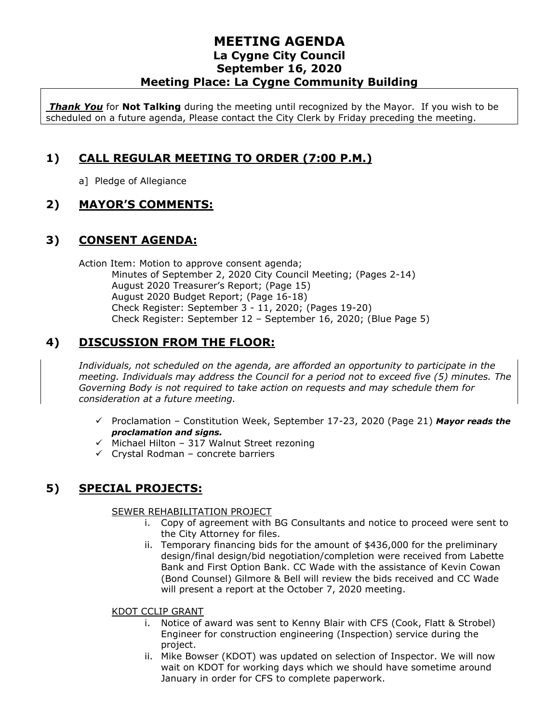*Thank You* for **Not Talking** during the meeting until recognized by the Mayor. If you wish to be scheduled on a future agenda, Please contact the City Clerk by Friday preceding the meeting.

## **1) CALL REGULAR MEETING TO ORDER (7:00 P.M.)**

a] Pledge of Allegiance

### **2) MAYOR'S COMMENTS:**

### **3) CONSENT AGENDA:**

Action Item: Motion to approve consent agenda; Minutes of September 2, 2020 City Council Meeting; (Pages 2-14) August 2020 Treasurer's Report; (Page 15) August 2020 Budget Report; (Page 16-18) Check Register: September 3 - 11, 2020; (Pages 19-20) Check Register: September 12 – September 16, 2020; (Blue Page 5)

# **4) DISCUSSION FROM THE FLOOR:**

*Individuals, not scheduled on the agenda, are afforded an opportunity to participate in the meeting. Individuals may address the Council for a period not to exceed five (5) minutes. The Governing Body is not required to take action on requests and may schedule them for consideration at a future meeting.* 

- ✓ Proclamation Constitution Week, September 17-23, 2020 (Page 21) *Mayor reads the proclamation and signs.*
- ✓ Michael Hilton 317 Walnut Street rezoning
- $\checkmark$  Crystal Rodman concrete barriers

# **5) SPECIAL PROJECTS:**

#### SEWER REHABILITATION PROJECT

- i. Copy of agreement with BG Consultants and notice to proceed were sent to the City Attorney for files.
- ii. Temporary financing bids for the amount of \$436,000 for the preliminary design/final design/bid negotiation/completion were received from Labette Bank and First Option Bank. CC Wade with the assistance of Kevin Cowan (Bond Counsel) Gilmore & Bell will review the bids received and CC Wade will present a report at the October 7, 2020 meeting.

#### KDOT CCLIP GRANT

- i. Notice of award was sent to Kenny Blair with CFS (Cook, Flatt & Strobel) Engineer for construction engineering (Inspection) service during the project.
- ii. Mike Bowser (KDOT) was updated on selection of Inspector. We will now wait on KDOT for working days which we should have sometime around January in order for CFS to complete paperwork.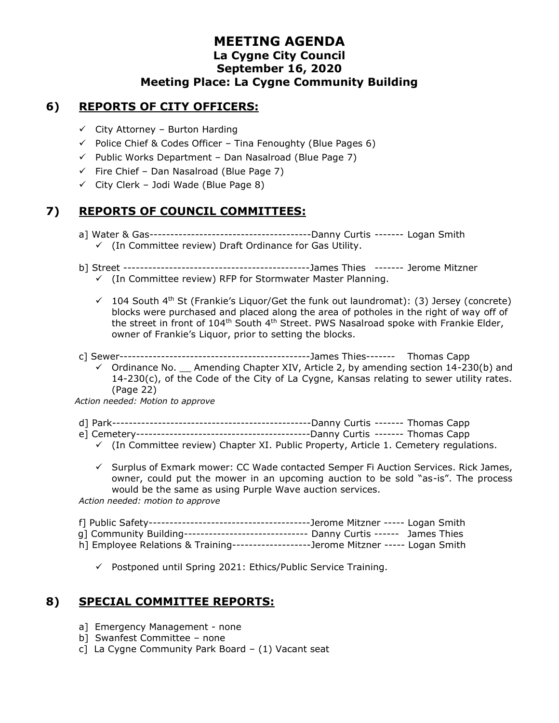#### **6) REPORTS OF CITY OFFICERS:**

- $\checkmark$  City Attorney Burton Harding
- $\checkmark$  Police Chief & Codes Officer Tina Fenoughty (Blue Pages 6)
- $\checkmark$  Public Works Department Dan Nasalroad (Blue Page 7)
- $\checkmark$  Fire Chief Dan Nasalroad (Blue Page 7)
- $\checkmark$  City Clerk Jodi Wade (Blue Page 8)

### **7) REPORTS OF COUNCIL COMMITTEES:**

- a] Water & Gas---------------------------------------Danny Curtis ------- Logan Smith ✓ (In Committee review) Draft Ordinance for Gas Utility.
- b] Street ---------------------------------------------James Thies ------- Jerome Mitzner
	- ✓ (In Committee review) RFP for Stormwater Master Planning.
	- $\checkmark$  104 South 4<sup>th</sup> St (Frankie's Liquor/Get the funk out laundromat): (3) Jersey (concrete) blocks were purchased and placed along the area of potholes in the right of way off of the street in front of 104<sup>th</sup> South 4<sup>th</sup> Street. PWS Nasalroad spoke with Frankie Elder, owner of Frankie's Liquor, prior to setting the blocks.
- c] Sewer----------------------------------------------James Thies------- Thomas Capp
	- $\checkmark$  Ordinance No.  $\Box$  Amending Chapter XIV, Article 2, by amending section 14-230(b) and 14-230(c), of the Code of the City of La Cygne, Kansas relating to sewer utility rates. (Page 22)

*Action needed: Motion to approve*

- d] Park------------------------------------------------Danny Curtis ------- Thomas Capp
- e] Cemetery------------------------------------------Danny Curtis ------- Thomas Capp
	- $\checkmark$  (In Committee review) Chapter XI. Public Property, Article 1. Cemetery regulations.
	- ✓ Surplus of Exmark mower: CC Wade contacted Semper Fi Auction Services. Rick James, owner, could put the mower in an upcoming auction to be sold "as-is". The process would be the same as using Purple Wave auction services.

*Action needed: motion to approve*

| g] Community Building------------------------------- Danny Curtis ------ James Thies |  |
|--------------------------------------------------------------------------------------|--|
| h] Employee Relations & Training-------------------Jerome Mitzner ----- Logan Smith  |  |

✓ Postponed until Spring 2021: Ethics/Public Service Training.

### **8) SPECIAL COMMITTEE REPORTS:**

- a] Emergency Management none
- b] Swanfest Committee none
- c] La Cygne Community Park Board (1) Vacant seat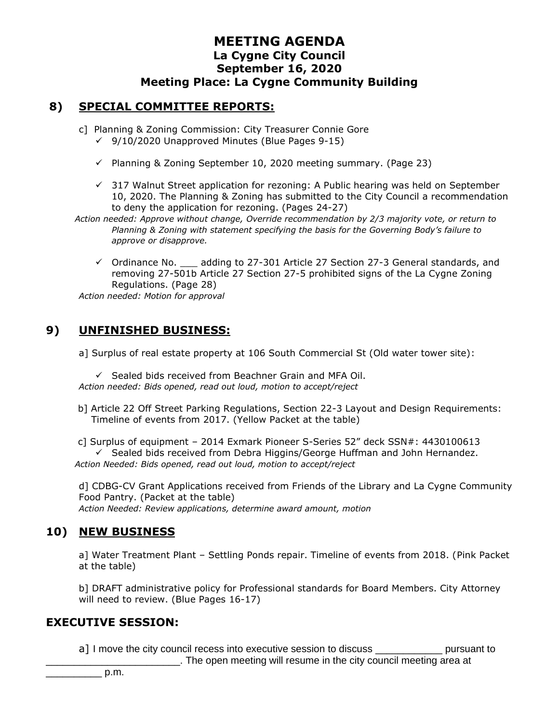#### **8) SPECIAL COMMITTEE REPORTS:**

- c] Planning & Zoning Commission: City Treasurer Connie Gore ✓ 9/10/2020 Unapproved Minutes (Blue Pages 9-15)
	- ✓ Planning & Zoning September 10, 2020 meeting summary. (Page 23)
	- $\checkmark$  317 Walnut Street application for rezoning: A Public hearing was held on September 10, 2020. The Planning & Zoning has submitted to the City Council a recommendation to deny the application for rezoning. (Pages 24-27)
- *Action needed: Approve without change, Override recommendation by 2/3 majority vote, or return to Planning & Zoning with statement specifying the basis for the Governing Body's failure to approve or disapprove.*
	- $\checkmark$  Ordinance No.  $\checkmark$  adding to 27-301 Article 27 Section 27-3 General standards, and removing 27-501b Article 27 Section 27-5 prohibited signs of the La Cygne Zoning Regulations. (Page 28)

*Action needed: Motion for approval*

### **9) UNFINISHED BUSINESS:**

a] Surplus of real estate property at 106 South Commercial St (Old water tower site):

✓ Sealed bids received from Beachner Grain and MFA Oil. *Action needed: Bids opened, read out loud, motion to accept/reject*

b] Article 22 Off Street Parking Regulations, Section 22-3 Layout and Design Requirements: Timeline of events from 2017. (Yellow Packet at the table)

c] Surplus of equipment – 2014 Exmark Pioneer S-Series 52" deck SSN#: 4430100613 ✓ Sealed bids received from Debra Higgins/George Huffman and John Hernandez. *Action Needed: Bids opened, read out loud, motion to accept/reject*

d] CDBG-CV Grant Applications received from Friends of the Library and La Cygne Community Food Pantry. (Packet at the table) *Action Needed: Review applications, determine award amount, motion*

### **10) NEW BUSINESS**

a] Water Treatment Plant – Settling Ponds repair. Timeline of events from 2018. (Pink Packet at the table)

b] DRAFT administrative policy for Professional standards for Board Members. City Attorney will need to review. (Blue Pages 16-17)

#### **EXECUTIVE SESSION:**

a] I move the city council recess into executive session to discuss \_\_\_\_\_\_\_\_\_\_\_\_\_\_ pursuant to

\_\_\_\_\_\_\_\_\_\_\_\_\_\_\_\_\_\_\_\_\_\_\_\_. The open meeting will resume in the city council meeting area at